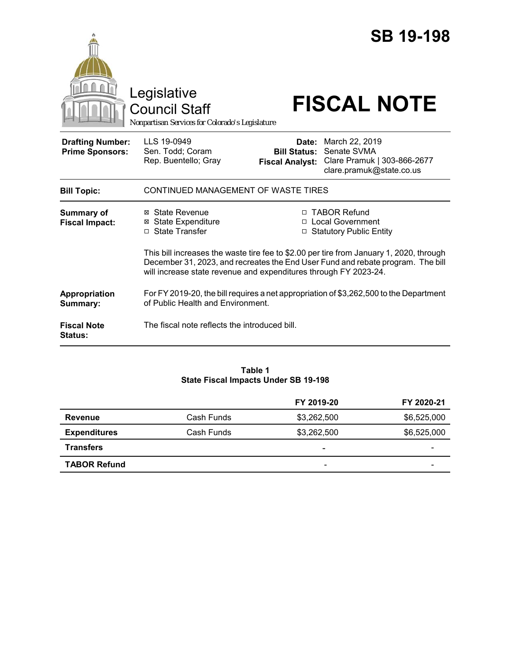|                                                   | Legislative<br><b>Council Staff</b><br>Nonpartisan Services for Colorado's Legislature                                                                                                                                                         |                                                        | <b>SB 19-198</b><br><b>FISCAL NOTE</b>                                                   |  |
|---------------------------------------------------|------------------------------------------------------------------------------------------------------------------------------------------------------------------------------------------------------------------------------------------------|--------------------------------------------------------|------------------------------------------------------------------------------------------|--|
| <b>Drafting Number:</b><br><b>Prime Sponsors:</b> | LLS 19-0949<br>Sen. Todd; Coram<br>Rep. Buentello; Gray                                                                                                                                                                                        | Date:<br><b>Bill Status:</b><br><b>Fiscal Analyst:</b> | March 22, 2019<br>Senate SVMA<br>Clare Pramuk   303-866-2677<br>clare.pramuk@state.co.us |  |
| <b>Bill Topic:</b>                                | CONTINUED MANAGEMENT OF WASTE TIRES                                                                                                                                                                                                            |                                                        |                                                                                          |  |
| <b>Summary of</b><br><b>Fiscal Impact:</b>        | ⊠ State Revenue<br><b>⊠ State Expenditure</b><br>□ State Transfer                                                                                                                                                                              |                                                        | □ TABOR Refund<br>□ Local Government<br>□ Statutory Public Entity                        |  |
|                                                   | This bill increases the waste tire fee to \$2.00 per tire from January 1, 2020, through<br>December 31, 2023, and recreates the End User Fund and rebate program. The bill<br>will increase state revenue and expenditures through FY 2023-24. |                                                        |                                                                                          |  |
| Appropriation<br>Summary:                         | For FY 2019-20, the bill requires a net appropriation of \$3,262,500 to the Department<br>of Public Health and Environment.                                                                                                                    |                                                        |                                                                                          |  |
| <b>Fiscal Note</b><br><b>Status:</b>              | The fiscal note reflects the introduced bill.                                                                                                                                                                                                  |                                                        |                                                                                          |  |

#### **Table 1 State Fiscal Impacts Under SB 19-198**

|                     |            | FY 2019-20               | FY 2020-21  |
|---------------------|------------|--------------------------|-------------|
| <b>Revenue</b>      | Cash Funds | \$3,262,500              | \$6,525,000 |
| <b>Expenditures</b> | Cash Funds | \$3,262,500              | \$6,525,000 |
| <b>Transfers</b>    |            | $\overline{\phantom{0}}$ |             |
| <b>TABOR Refund</b> |            | $\overline{\phantom{a}}$ |             |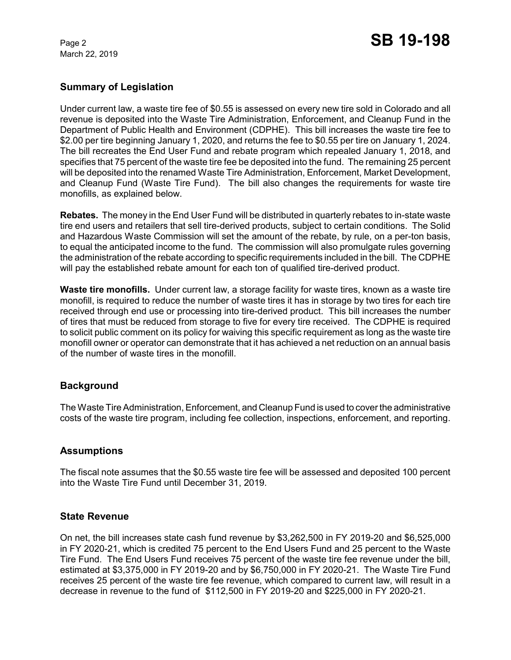March 22, 2019

# **Summary of Legislation**

Under current law, a waste tire fee of \$0.55 is assessed on every new tire sold in Colorado and all revenue is deposited into the Waste Tire Administration, Enforcement, and Cleanup Fund in the Department of Public Health and Environment (CDPHE). This bill increases the waste tire fee to \$2.00 per tire beginning January 1, 2020, and returns the fee to \$0.55 per tire on January 1, 2024. The bill recreates the End User Fund and rebate program which repealed January 1, 2018, and specifies that 75 percent of the waste tire fee be deposited into the fund. The remaining 25 percent will be deposited into the renamed Waste Tire Administration, Enforcement, Market Development, and Cleanup Fund (Waste Tire Fund). The bill also changes the requirements for waste tire monofills, as explained below.

**Rebates.** The money in the End User Fund will be distributed in quarterly rebates to in-state waste tire end users and retailers that sell tire-derived products, subject to certain conditions. The Solid and Hazardous Waste Commission will set the amount of the rebate, by rule, on a per-ton basis, to equal the anticipated income to the fund. The commission will also promulgate rules governing the administration of the rebate according to specific requirements included in the bill. The CDPHE will pay the established rebate amount for each ton of qualified tire-derived product.

**Waste tire monofills.** Under current law, a storage facility for waste tires, known as a waste tire monofill, is required to reduce the number of waste tires it has in storage by two tires for each tire received through end use or processing into tire-derived product. This bill increases the number of tires that must be reduced from storage to five for every tire received. The CDPHE is required to solicit public comment on its policy for waiving this specific requirement as long as the waste tire monofill owner or operator can demonstrate that it has achieved a net reduction on an annual basis of the number of waste tires in the monofill.

# **Background**

The Waste Tire Administration, Enforcement, and Cleanup Fund is used to cover the administrative costs of the waste tire program, including fee collection, inspections, enforcement, and reporting.

# **Assumptions**

The fiscal note assumes that the \$0.55 waste tire fee will be assessed and deposited 100 percent into the Waste Tire Fund until December 31, 2019.

### **State Revenue**

On net, the bill increases state cash fund revenue by \$3,262,500 in FY 2019-20 and \$6,525,000 in FY 2020-21, which is credited 75 percent to the End Users Fund and 25 percent to the Waste Tire Fund. The End Users Fund receives 75 percent of the waste tire fee revenue under the bill, estimated at \$3,375,000 in FY 2019-20 and by \$6,750,000 in FY 2020-21. The Waste Tire Fund receives 25 percent of the waste tire fee revenue, which compared to current law, will result in a decrease in revenue to the fund of \$112,500 in FY 2019-20 and \$225,000 in FY 2020-21.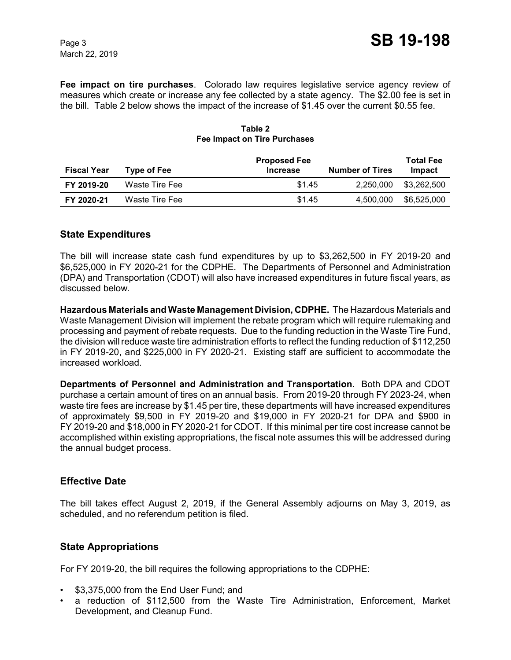**Fee impact on tire purchases**. Colorado law requires legislative service agency review of measures which create or increase any fee collected by a state agency. The \$2.00 fee is set in the bill. Table 2 below shows the impact of the increase of \$1.45 over the current \$0.55 fee.

| <b>Fiscal Year</b> | Type of Fee    | <b>Proposed Fee</b><br><b>Number of Tires</b><br><b>Increase</b> | <b>Total Fee</b><br>Impact |
|--------------------|----------------|------------------------------------------------------------------|----------------------------|
| FY 2019-20         | Waste Tire Fee | \$1.45<br>2.250.000                                              | \$3,262,500                |
| FY 2020-21         | Waste Tire Fee | \$1.45<br>4.500.000                                              | \$6,525,000                |

### **Table 2 Fee Impact on Tire Purchases**

## **State Expenditures**

The bill will increase state cash fund expenditures by up to \$3,262,500 in FY 2019-20 and \$6,525,000 in FY 2020-21 for the CDPHE. The Departments of Personnel and Administration (DPA) and Transportation (CDOT) will also have increased expenditures in future fiscal years, as discussed below.

**Hazardous Materials and Waste Management Division, CDPHE.** The Hazardous Materials and Waste Management Division will implement the rebate program which will require rulemaking and processing and payment of rebate requests. Due to the funding reduction in the Waste Tire Fund, the division willreduce waste tire administration efforts to reflect the funding reduction of \$112,250 in FY 2019-20, and \$225,000 in FY 2020-21. Existing staff are sufficient to accommodate the increased workload.

**Departments of Personnel and Administration and Transportation.** Both DPA and CDOT purchase a certain amount of tires on an annual basis. From 2019-20 through FY 2023-24, when waste tire fees are increase by \$1.45 per tire, these departments will have increased expenditures of approximately \$9,500 in FY 2019-20 and \$19,000 in FY 2020-21 for DPA and \$900 in FY 2019-20 and \$18,000 in FY 2020-21 for CDOT. If this minimal per tire cost increase cannot be accomplished within existing appropriations, the fiscal note assumes this will be addressed during the annual budget process.

# **Effective Date**

The bill takes effect August 2, 2019, if the General Assembly adjourns on May 3, 2019, as scheduled, and no referendum petition is filed.

# **State Appropriations**

For FY 2019-20, the bill requires the following appropriations to the CDPHE:

- \$3,375,000 from the End User Fund; and
- a reduction of \$112,500 from the Waste Tire Administration, Enforcement, Market Development, and Cleanup Fund.